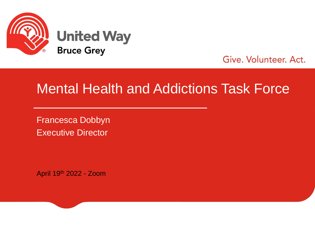

#### Give. Volunteer. Act.

#### Mental Health and Addictions Task Force

Francesca Dobbyn Executive Director

April 19th 2022 - Zoom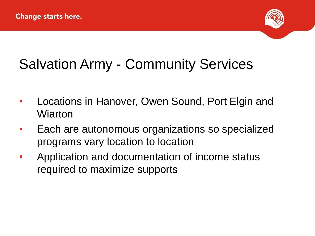

# Salvation Army - Community Services

- Locations in Hanover, Owen Sound, Port Elgin and Wiarton
- Each are autonomous organizations so specialized programs vary location to location
- Application and documentation of income status required to maximize supports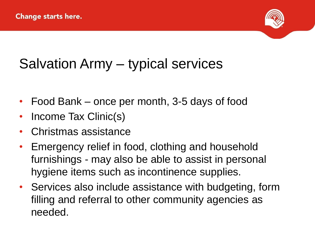

## Salvation Army – typical services

- Food Bank once per month, 3-5 days of food
- Income Tax Clinic(s)
- Christmas assistance
- Emergency relief in food, clothing and household furnishings - may also be able to assist in personal hygiene items such as incontinence supplies.
- Services also include assistance with budgeting, form filling and referral to other community agencies as needed.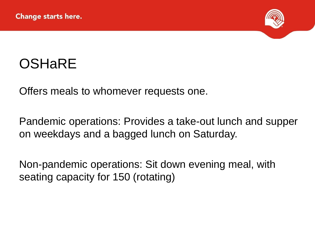

#### **OSHaRE**

Offers meals to whomever requests one.

Pandemic operations: Provides a take-out lunch and supper on weekdays and a bagged lunch on Saturday.

Non-pandemic operations: Sit down evening meal, with seating capacity for 150 (rotating)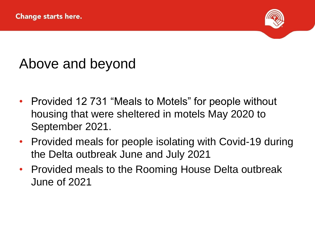

#### Above and beyond

- Provided 12 731 "Meals to Motels" for people without housing that were sheltered in motels May 2020 to September 2021.
- Provided meals for people isolating with Covid-19 during the Delta outbreak June and July 2021
- Provided meals to the Rooming House Delta outbreak June of 2021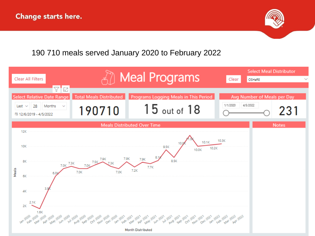

#### 190 710 meals served January 2020 to February 2022

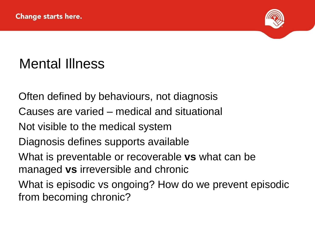

#### Mental Illness

Often defined by behaviours, not diagnosis

Causes are varied – medical and situational

- Not visible to the medical system
- Diagnosis defines supports available
- What is preventable or recoverable **vs** what can be managed **vs** irreversible and chronic
- What is episodic vs ongoing? How do we prevent episodic from becoming chronic?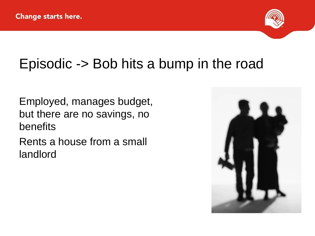

#### Episodic -> Bob hits a bump in the road

Employed, manages budget, but there are no savings, no benefits

Rents a house from a small landlord

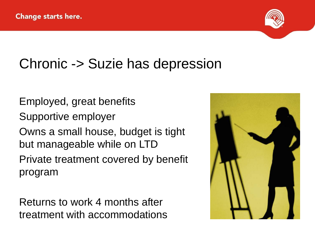#### Chronic -> Suzie has depression

Employed, great benefits

Supportive employer

Owns a small house, budget is tight but manageable while on LTD

Private treatment covered by benefit program

Returns to work 4 months after treatment with accommodations



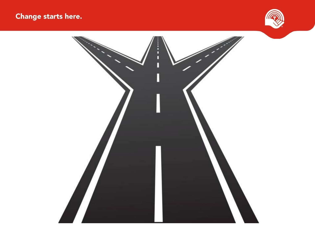#### Change starts here.



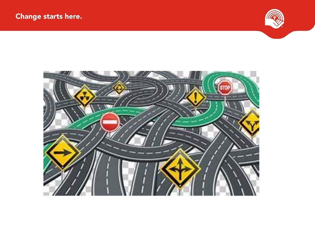

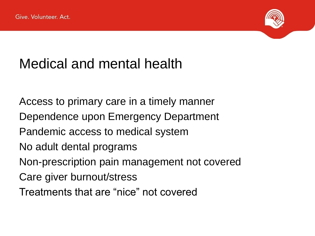

### Medical and mental health

Access to primary care in a timely manner Dependence upon Emergency Department Pandemic access to medical system No adult dental programs Non-prescription pain management not covered Care giver burnout/stress Treatments that are "nice" not covered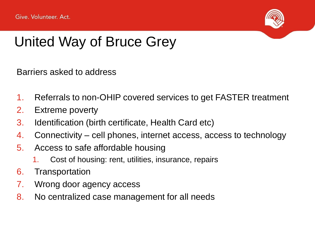

### United Way of Bruce Grey

Barriers asked to address

- 1. Referrals to non-OHIP covered services to get FASTER treatment
- 2. Extreme poverty
- 3. Identification (birth certificate, Health Card etc)
- 4. Connectivity cell phones, internet access, access to technology
- 5. Access to safe affordable housing
	- 1. Cost of housing: rent, utilities, insurance, repairs
- 6. Transportation
- 7. Wrong door agency access
- 8. No centralized case management for all needs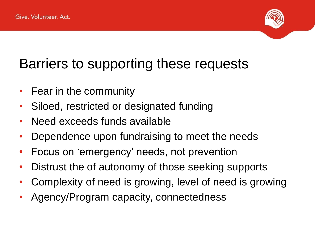

### Barriers to supporting these requests

- Fear in the community
- Siloed, restricted or designated funding
- Need exceeds funds available
- Dependence upon fundraising to meet the needs
- Focus on 'emergency' needs, not prevention
- Distrust the of autonomy of those seeking supports
- Complexity of need is growing, level of need is growing
- Agency/Program capacity, connectedness